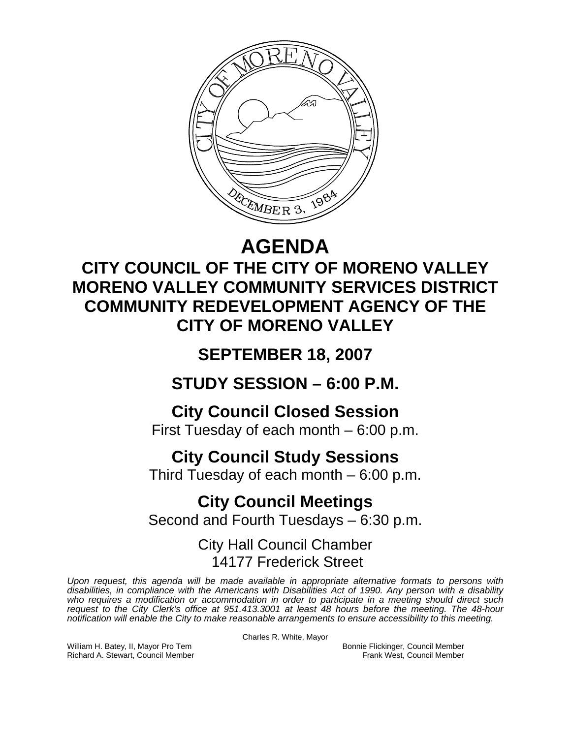

# **AGENDA**

## **CITY COUNCIL OF THE CITY OF MORENO VALLEY MORENO VALLEY COMMUNITY SERVICES DISTRICT COMMUNITY REDEVELOPMENT AGENCY OF THE CITY OF MORENO VALLEY**

## **SEPTEMBER 18, 2007**

**STUDY SESSION – 6:00 P.M.** 

**City Council Closed Session**  First Tuesday of each month – 6:00 p.m.

# **City Council Study Sessions**

Third Tuesday of each month – 6:00 p.m.

### **City Council Meetings**  Second and Fourth Tuesdays – 6:30 p.m.

### City Hall Council Chamber 14177 Frederick Street

*Upon request, this agenda will be made available in appropriate alternative formats to persons with disabilities, in compliance with the Americans with Disabilities Act of 1990. Any person with a disability*  who requires a modification or accommodation in order to participate in a meeting should direct such *request to the City Clerk's office at 951.413.3001 at least 48 hours before the meeting. The 48-hour notification will enable the City to make reasonable arrangements to ensure accessibility to this meeting.* 

Charles R. White, Mayor

William H. Batey, II, Mayor Pro Tem Bonnie Flickinger, Council Member<br>Richard A. Stewart, Council Member **Bonnie Flickinger, Council Member** Frank West, Council Member Richard A. Stewart, Council Member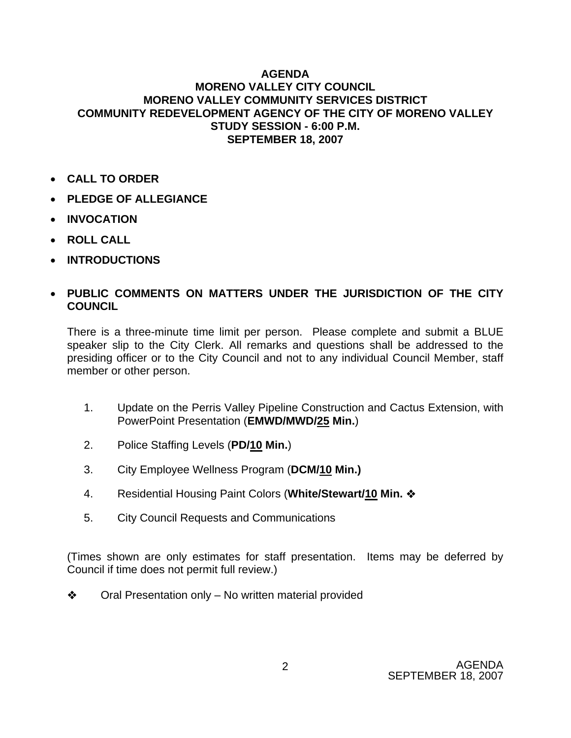#### **AGENDA MORENO VALLEY CITY COUNCIL MORENO VALLEY COMMUNITY SERVICES DISTRICT COMMUNITY REDEVELOPMENT AGENCY OF THE CITY OF MORENO VALLEY STUDY SESSION - 6:00 P.M. SEPTEMBER 18, 2007**

- **CALL TO ORDER**
- **PLEDGE OF ALLEGIANCE**
- **INVOCATION**
- **ROLL CALL**
- **INTRODUCTIONS**

### • **PUBLIC COMMENTS ON MATTERS UNDER THE JURISDICTION OF THE CITY COUNCIL**

There is a three-minute time limit per person. Please complete and submit a BLUE speaker slip to the City Clerk. All remarks and questions shall be addressed to the presiding officer or to the City Council and not to any individual Council Member, staff member or other person.

- 1. Update on the Perris Valley Pipeline Construction and Cactus Extension, with PowerPoint Presentation (**EMWD/MWD/25 Min.**)
- 2. Police Staffing Levels (**PD/10 Min.**)
- 3. City Employee Wellness Program (**DCM/10 Min.)**
- 4. Residential Housing Paint Colors (**White/Stewart/10 Min.**
- 5. City Council Requests and Communications

(Times shown are only estimates for staff presentation. Items may be deferred by Council if time does not permit full review.)

**❖** Oral Presentation only – No written material provided